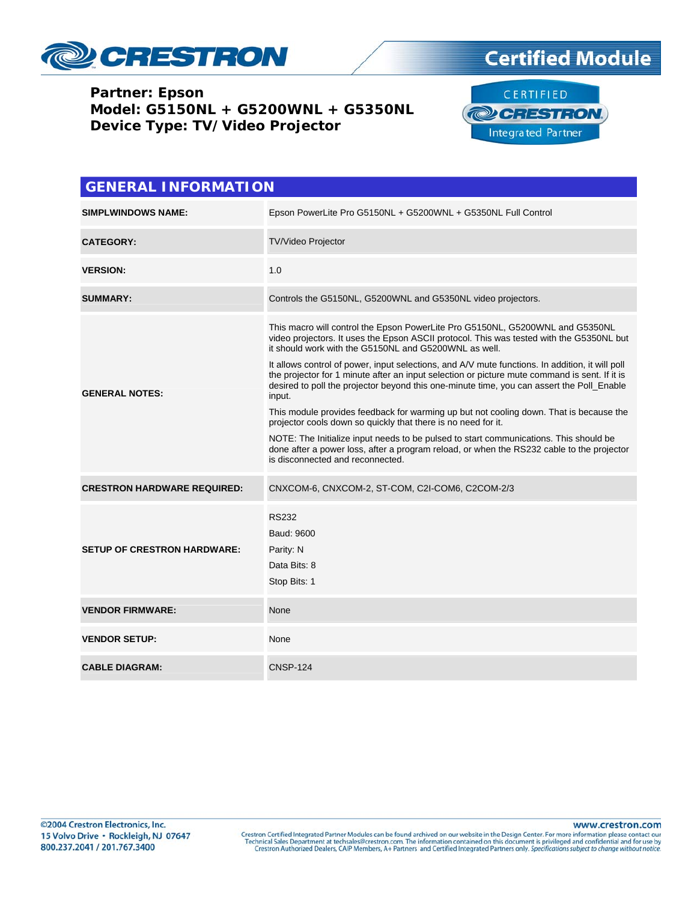

## **Certified Module**

**Partner: Epson Model: G5150NL + G5200WNL + G5350NL Device Type: TV/Video Projector**



| <b>GENERAL INFORMATION</b>         |                                                                                                                                                                                                                                                                                                                                                                                                                                                                                                                                                                                                                                                                                                                                                                                                                                                                                                                                    |  |  |
|------------------------------------|------------------------------------------------------------------------------------------------------------------------------------------------------------------------------------------------------------------------------------------------------------------------------------------------------------------------------------------------------------------------------------------------------------------------------------------------------------------------------------------------------------------------------------------------------------------------------------------------------------------------------------------------------------------------------------------------------------------------------------------------------------------------------------------------------------------------------------------------------------------------------------------------------------------------------------|--|--|
| <b>SIMPLWINDOWS NAME:</b>          | Epson PowerLite Pro G5150NL + G5200WNL + G5350NL Full Control                                                                                                                                                                                                                                                                                                                                                                                                                                                                                                                                                                                                                                                                                                                                                                                                                                                                      |  |  |
| <b>CATEGORY:</b>                   | <b>TV/Video Projector</b>                                                                                                                                                                                                                                                                                                                                                                                                                                                                                                                                                                                                                                                                                                                                                                                                                                                                                                          |  |  |
| <b>VERSION:</b>                    | 1.0                                                                                                                                                                                                                                                                                                                                                                                                                                                                                                                                                                                                                                                                                                                                                                                                                                                                                                                                |  |  |
| <b>SUMMARY:</b>                    | Controls the G5150NL, G5200WNL and G5350NL video projectors.                                                                                                                                                                                                                                                                                                                                                                                                                                                                                                                                                                                                                                                                                                                                                                                                                                                                       |  |  |
| <b>GENERAL NOTES:</b>              | This macro will control the Epson PowerLite Pro G5150NL, G5200WNL and G5350NL<br>video projectors. It uses the Epson ASCII protocol. This was tested with the G5350NL but<br>it should work with the G5150NL and G5200WNL as well.<br>It allows control of power, input selections, and A/V mute functions. In addition, it will poll<br>the projector for 1 minute after an input selection or picture mute command is sent. If it is<br>desired to poll the projector beyond this one-minute time, you can assert the Poll_Enable<br>input.<br>This module provides feedback for warming up but not cooling down. That is because the<br>projector cools down so quickly that there is no need for it.<br>NOTE: The Initialize input needs to be pulsed to start communications. This should be<br>done after a power loss, after a program reload, or when the RS232 cable to the projector<br>is disconnected and reconnected. |  |  |
| <b>CRESTRON HARDWARE REQUIRED:</b> | CNXCOM-6, CNXCOM-2, ST-COM, C2I-COM6, C2COM-2/3                                                                                                                                                                                                                                                                                                                                                                                                                                                                                                                                                                                                                                                                                                                                                                                                                                                                                    |  |  |
| <b>SETUP OF CRESTRON HARDWARE:</b> | <b>RS232</b><br>Baud: 9600<br>Parity: N<br>Data Bits: 8<br>Stop Bits: 1                                                                                                                                                                                                                                                                                                                                                                                                                                                                                                                                                                                                                                                                                                                                                                                                                                                            |  |  |
| <b>VENDOR FIRMWARE:</b>            | None                                                                                                                                                                                                                                                                                                                                                                                                                                                                                                                                                                                                                                                                                                                                                                                                                                                                                                                               |  |  |
| <b>VENDOR SETUP:</b>               | None                                                                                                                                                                                                                                                                                                                                                                                                                                                                                                                                                                                                                                                                                                                                                                                                                                                                                                                               |  |  |
| <b>CABLE DIAGRAM:</b>              | <b>CNSP-124</b>                                                                                                                                                                                                                                                                                                                                                                                                                                                                                                                                                                                                                                                                                                                                                                                                                                                                                                                    |  |  |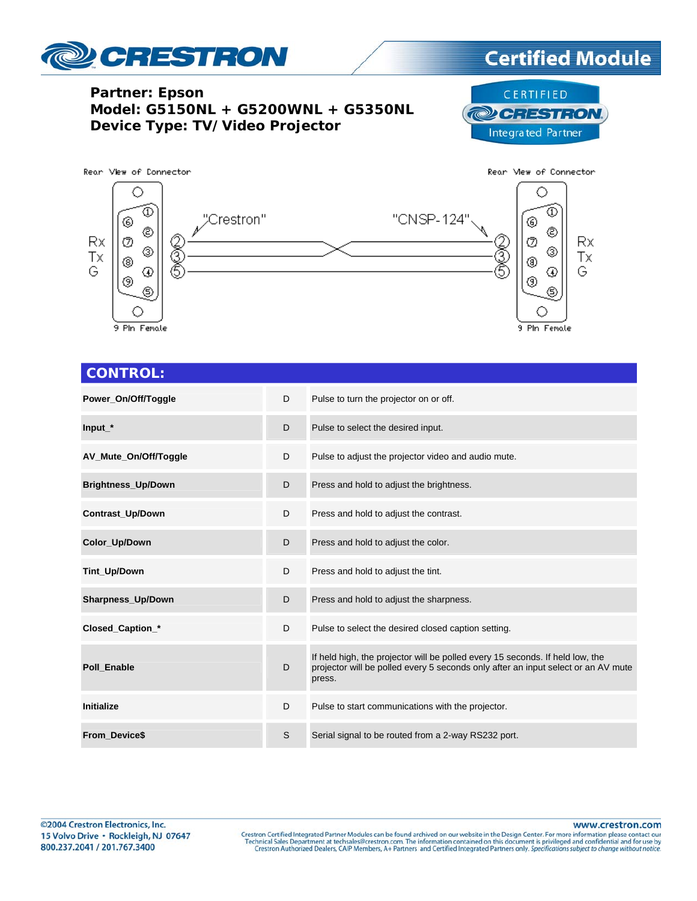

## **Certified Module**

**Partner: Epson Model: G5150NL + G5200WNL + G5350NL Device Type: TV/Video Projector**





## **CONTROL:**

| Power_On/Off/Toggle       | D | Pulse to turn the projector on or off.                                                                                                                                       |
|---------------------------|---|------------------------------------------------------------------------------------------------------------------------------------------------------------------------------|
| $Input*$                  | D | Pulse to select the desired input.                                                                                                                                           |
| AV_Mute_On/Off/Toggle     | D | Pulse to adjust the projector video and audio mute.                                                                                                                          |
| <b>Brightness_Up/Down</b> | D | Press and hold to adjust the brightness.                                                                                                                                     |
| <b>Contrast Up/Down</b>   | D | Press and hold to adjust the contrast.                                                                                                                                       |
| Color_Up/Down             | D | Press and hold to adjust the color.                                                                                                                                          |
| Tint_Up/Down              | D | Press and hold to adjust the tint.                                                                                                                                           |
| Sharpness_Up/Down         | D | Press and hold to adjust the sharpness.                                                                                                                                      |
| Closed_Caption_*          | D | Pulse to select the desired closed caption setting.                                                                                                                          |
| <b>Poll Enable</b>        | D | If held high, the projector will be polled every 15 seconds. If held low, the<br>projector will be polled every 5 seconds only after an input select or an AV mute<br>press. |
| Initialize                | D | Pulse to start communications with the projector.                                                                                                                            |
| <b>From Device\$</b>      | S | Serial signal to be routed from a 2-way RS232 port.                                                                                                                          |

www.crestron.com

Crestron Certified Integrated Partner Modules can be found archived on our website in the Design Center. For more information please contact our Technical Sales Department at techsales@crestron.com. The information contain